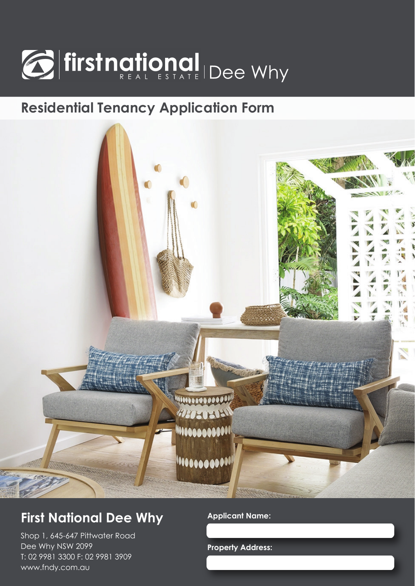

# **Residential Tenancy Application Form**



## **First National Dee Why**

Shop 1, 645-647 Pittwater Road Dee Why NSW 2099 T: 02 9981 3300 F: 02 9981 3909 www.fndy.com.au

### **Applicant Name:**

**Property Address:**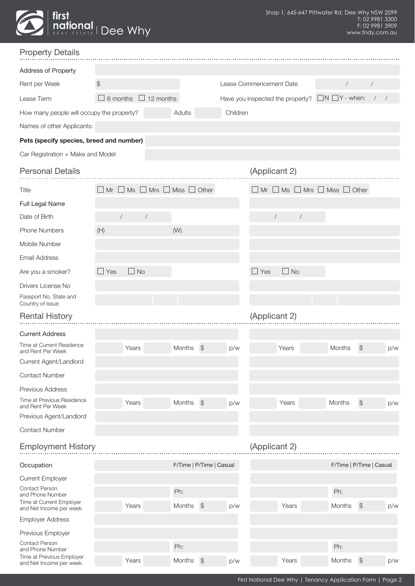| <b>Exercise 1</b> first | <b>Dee Why</b> |  |
|-------------------------|----------------|--|
|                         |                |  |

| <b>Property Details</b>                              |                                                         |                          |                                                          |                                                         |                                                           |                |
|------------------------------------------------------|---------------------------------------------------------|--------------------------|----------------------------------------------------------|---------------------------------------------------------|-----------------------------------------------------------|----------------|
| Address of Property                                  |                                                         |                          |                                                          |                                                         |                                                           |                |
| Rent per Week                                        | $$\mathbb{S}$$                                          |                          |                                                          | Lease Commencement Date                                 | $\sqrt{2}$                                                | $\overline{1}$ |
| Lease Term                                           | 6 months<br>$\Box$ 12 months                            |                          | Have you inspected the property? $\Box N \Box Y$ - when: |                                                         |                                                           | $/$ /          |
| How many people will occupy the property?            |                                                         | Adults                   | Children                                                 |                                                         |                                                           |                |
| Names of other Applicants:                           |                                                         |                          |                                                          |                                                         |                                                           |                |
| Pets (specify species, breed and number)             |                                                         |                          |                                                          |                                                         |                                                           |                |
| Car Registration + Make and Model                    |                                                         |                          |                                                          |                                                         |                                                           |                |
| <b>Personal Details</b>                              |                                                         |                          |                                                          | (Applicant 2)                                           |                                                           |                |
| Title                                                | $\Box$ Mr $\Box$ Ms $\Box$ Mrs $\Box$ Miss $\Box$ Other |                          |                                                          | $\Box$ Mr $\Box$ Ms $\Box$ Mrs $\Box$ Miss $\Box$ Other |                                                           |                |
| Full Legal Name                                      |                                                         |                          |                                                          |                                                         |                                                           |                |
| Date of Birth                                        | $\sqrt{2}$<br>$\sqrt{2}$                                |                          |                                                          | $\sqrt{2}$<br>$\sqrt{2}$                                |                                                           |                |
| <b>Phone Numbers</b>                                 | (H)                                                     | (W)                      |                                                          |                                                         |                                                           |                |
| Mobile Number                                        |                                                         |                          |                                                          |                                                         |                                                           |                |
| <b>Email Address</b>                                 |                                                         |                          |                                                          |                                                         |                                                           |                |
| Are you a smoker?                                    | $\Box$ No<br>Yes                                        |                          |                                                          | $\Box$ No<br>Yes                                        |                                                           |                |
| Drivers License No                                   |                                                         |                          |                                                          |                                                         |                                                           |                |
| Passport No, State and<br>Country of issue           |                                                         |                          |                                                          |                                                         |                                                           |                |
| <b>Rental History</b>                                |                                                         |                          |                                                          | (Applicant 2)                                           |                                                           |                |
| <b>Current Address</b>                               |                                                         |                          |                                                          |                                                         |                                                           |                |
| Time at Current Residence<br>and Rent Per Week       | Years                                                   | Months<br>$\mathcal{F}$  | p/w                                                      | Years                                                   | $\frac{1}{2}$<br>Months                                   | p/w            |
| Current Agent/Landlord                               |                                                         |                          |                                                          |                                                         |                                                           |                |
| <b>Contact Number</b>                                |                                                         |                          |                                                          |                                                         |                                                           |                |
| Previous Address                                     |                                                         |                          |                                                          |                                                         |                                                           |                |
| Time at Previous Residence<br>and Rent Per Week      | Years                                                   | Months<br>$\mathcal{L}$  | p/w                                                      | Years                                                   | $$\mathbb{S}$$<br>Months                                  | p/w            |
| Previous Agent/Landlord                              |                                                         |                          |                                                          |                                                         |                                                           |                |
| <b>Contact Number</b>                                |                                                         |                          |                                                          |                                                         |                                                           |                |
| <b>Employment History</b>                            |                                                         |                          |                                                          | (Applicant 2)                                           |                                                           |                |
| Occupation                                           |                                                         | F/Time   P/Time   Casual |                                                          |                                                         | F/Time   P/Time   Casual                                  |                |
| <b>Current Employer</b>                              |                                                         |                          |                                                          |                                                         |                                                           |                |
| <b>Contact Person</b><br>and Phone Number            |                                                         | Ph:                      |                                                          |                                                         | Ph:                                                       |                |
| Time at Current Employer<br>and Net Income per week  | Years                                                   | $\frac{1}{2}$<br>Months  | p/w                                                      | Years                                                   | $\, \, \raisebox{-1.5pt}{$\scriptstyle \circ$}$<br>Months | p/w            |
| <b>Employer Address</b>                              |                                                         |                          |                                                          |                                                         |                                                           |                |
| Previous Employer                                    |                                                         |                          |                                                          |                                                         |                                                           |                |
| <b>Contact Person</b><br>and Phone Number            |                                                         | Ph:                      |                                                          |                                                         | Ph:                                                       |                |
| Time at Previous Employer<br>and Net Income per week | Years                                                   | Months<br>$\mathcal{L}$  | p/w                                                      | Years                                                   | $\, \, \raisebox{-1.5pt}{$\scriptstyle \circ$}$<br>Months | p/w            |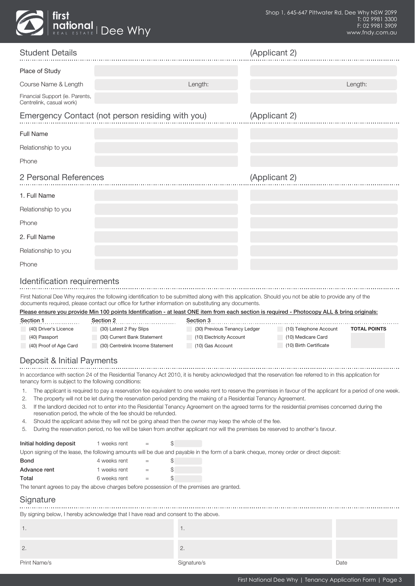

| <b>Student Details</b>                                           |                                                                                                                                                                                                                                                                                                                                                                                                                                                                                                       |                                                                              | (Applicant 2) |                                                                        |                     |
|------------------------------------------------------------------|-------------------------------------------------------------------------------------------------------------------------------------------------------------------------------------------------------------------------------------------------------------------------------------------------------------------------------------------------------------------------------------------------------------------------------------------------------------------------------------------------------|------------------------------------------------------------------------------|---------------|------------------------------------------------------------------------|---------------------|
| Place of Study                                                   |                                                                                                                                                                                                                                                                                                                                                                                                                                                                                                       |                                                                              |               |                                                                        |                     |
| Course Name & Length                                             |                                                                                                                                                                                                                                                                                                                                                                                                                                                                                                       | Length:                                                                      |               |                                                                        | Length:             |
| Financial Support (ie. Parents,<br>Centrelink, casual work)      |                                                                                                                                                                                                                                                                                                                                                                                                                                                                                                       |                                                                              |               |                                                                        |                     |
|                                                                  | Emergency Contact (not person residing with you)                                                                                                                                                                                                                                                                                                                                                                                                                                                      |                                                                              | (Applicant 2) |                                                                        |                     |
| <b>Full Name</b>                                                 |                                                                                                                                                                                                                                                                                                                                                                                                                                                                                                       |                                                                              |               |                                                                        |                     |
| Relationship to you                                              |                                                                                                                                                                                                                                                                                                                                                                                                                                                                                                       |                                                                              |               |                                                                        |                     |
| Phone                                                            |                                                                                                                                                                                                                                                                                                                                                                                                                                                                                                       |                                                                              |               |                                                                        |                     |
| 2 Personal References                                            |                                                                                                                                                                                                                                                                                                                                                                                                                                                                                                       |                                                                              | (Applicant 2) |                                                                        |                     |
| 1. Full Name                                                     |                                                                                                                                                                                                                                                                                                                                                                                                                                                                                                       |                                                                              |               |                                                                        |                     |
| Relationship to you                                              |                                                                                                                                                                                                                                                                                                                                                                                                                                                                                                       |                                                                              |               |                                                                        |                     |
| Phone                                                            |                                                                                                                                                                                                                                                                                                                                                                                                                                                                                                       |                                                                              |               |                                                                        |                     |
| 2. Full Name                                                     |                                                                                                                                                                                                                                                                                                                                                                                                                                                                                                       |                                                                              |               |                                                                        |                     |
| Relationship to you                                              |                                                                                                                                                                                                                                                                                                                                                                                                                                                                                                       |                                                                              |               |                                                                        |                     |
| Phone                                                            |                                                                                                                                                                                                                                                                                                                                                                                                                                                                                                       |                                                                              |               |                                                                        |                     |
| Identification requirements                                      |                                                                                                                                                                                                                                                                                                                                                                                                                                                                                                       |                                                                              |               |                                                                        |                     |
|                                                                  | First National Dee Why requires the following identification to be submitted along with this application. Should you not be able to provide any of the<br>documents required, please contact our office for further information on substituting any documents.<br>Please ensure you provide Min 100 points Identification - at least ONE item from each section is required - Photocopy ALL & bring originals:                                                                                        |                                                                              |               |                                                                        |                     |
| Section 1<br>.                                                   | Section 2                                                                                                                                                                                                                                                                                                                                                                                                                                                                                             | Section 3                                                                    |               |                                                                        |                     |
| (40) Driver's Licence<br>(40) Passport<br>(40) Proof of Age Card | (30) Latest 2 Pay Slips<br>(30) Current Bank Statement<br>(30) Centrelink Income Statement                                                                                                                                                                                                                                                                                                                                                                                                            | (30) Previous Tenancy Ledger<br>(10) Electricity Account<br>(10) Gas Account |               | (10) Telephone Account<br>(10) Medicare Card<br>(10) Birth Certificate | <b>TOTAL POINTS</b> |
| Deposit & Initial Payments                                       |                                                                                                                                                                                                                                                                                                                                                                                                                                                                                                       |                                                                              |               |                                                                        |                     |
| tenancy form is subject to the following conditions:             | In accordance with section 24 of the Residential Tenancy Act 2010, it is hereby acknowledged that the reservation fee referred to in this application for                                                                                                                                                                                                                                                                                                                                             |                                                                              |               |                                                                        |                     |
| 1.<br>2.<br>З.<br>4.                                             | The applicant is required to pay a reservation fee equivalent to one weeks rent to reserve the premises in favour of the applicant for a period of one week<br>The property will not be let during the reservation period pending the making of a Residential Tenancy Agreement.<br>If the landlord decided not to enter into the Residential Tenancy Agreement on the agreed terms for the residential premises concerned during the<br>reservation period, the whole of the fee should be refunded. |                                                                              |               |                                                                        |                     |
| 5.                                                               | Should the applicant advise they will not be going ahead then the owner may keep the whole of the fee.<br>During the reservation period, no fee will be taken from another applicant nor will the premises be reserved to another's favour.                                                                                                                                                                                                                                                           |                                                                              |               |                                                                        |                     |
| Initial holding deposit                                          | 1 weeks rent<br>\$<br>$=$                                                                                                                                                                                                                                                                                                                                                                                                                                                                             |                                                                              |               |                                                                        |                     |
|                                                                  | Upon signing of the lease, the following amounts will be due and payable in the form of a bank cheque, money order or direct deposit:                                                                                                                                                                                                                                                                                                                                                                 |                                                                              |               |                                                                        |                     |
| <b>Bond</b><br>Advance rent                                      | \$<br>4 weeks rent<br>$=$<br>1 weeks rent<br>\$<br>$=$                                                                                                                                                                                                                                                                                                                                                                                                                                                |                                                                              |               |                                                                        |                     |
| Total                                                            | 6 weeks rent<br>\$<br>$=$                                                                                                                                                                                                                                                                                                                                                                                                                                                                             |                                                                              |               |                                                                        |                     |
| Signature                                                        | The tenant agrees to pay the above charges before possession of the premises are granted.                                                                                                                                                                                                                                                                                                                                                                                                             |                                                                              |               |                                                                        |                     |
|                                                                  | By signing below, I hereby acknowledge that I have read and consent to the above.                                                                                                                                                                                                                                                                                                                                                                                                                     |                                                                              |               |                                                                        |                     |
| 1.                                                               |                                                                                                                                                                                                                                                                                                                                                                                                                                                                                                       | 1.                                                                           |               |                                                                        |                     |
| 2.                                                               |                                                                                                                                                                                                                                                                                                                                                                                                                                                                                                       | 2.                                                                           |               |                                                                        |                     |